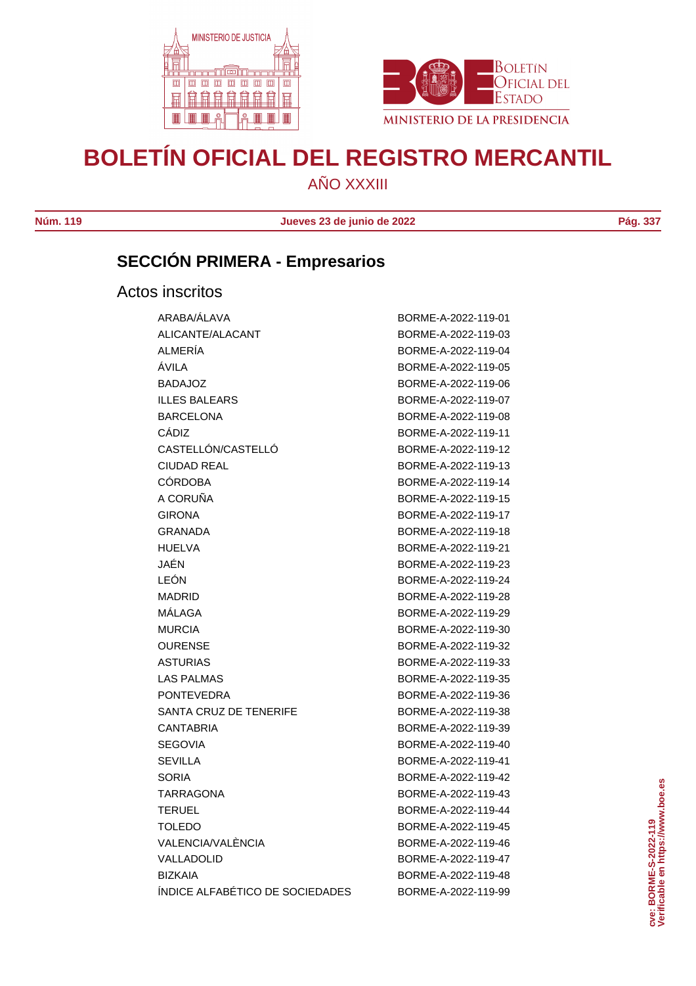



# **BOLETÍN OFICIAL DEL REGISTRO MERCANTIL**

AÑO XXXIII

**Núm. 119 Jueves 23 de junio de 2022 Pág. 337**

# **SECCIÓN PRIMERA - Empresarios**

Actos inscritos

| ARABA/ALAVA                     | BORME-A-2022-119-01 |
|---------------------------------|---------------------|
| ALICANTE/ALACANT                | BORME-A-2022-119-03 |
| <b>ALMERIA</b>                  | BORME-A-2022-119-04 |
| ÁVILA                           | BORME-A-2022-119-05 |
| <b>BADAJOZ</b>                  | BORME-A-2022-119-06 |
| <b>ILLES BALEARS</b>            | BORME-A-2022-119-07 |
| <b>BARCELONA</b>                | BORME-A-2022-119-08 |
| CÁDIZ                           | BORME-A-2022-119-11 |
| CASTELLÓN/CASTELLÓ              | BORME-A-2022-119-12 |
| <b>CIUDAD REAL</b>              | BORME-A-2022-119-13 |
| <b>CÓRDOBA</b>                  | BORME-A-2022-119-14 |
| A CORUÑA                        | BORME-A-2022-119-15 |
| <b>GIRONA</b>                   | BORME-A-2022-119-17 |
| <b>GRANADA</b>                  | BORME-A-2022-119-18 |
| <b>HUELVA</b>                   | BORME-A-2022-119-21 |
| JAÉN                            | BORME-A-2022-119-23 |
| LEÓN                            | BORME-A-2022-119-24 |
| <b>MADRID</b>                   | BORME-A-2022-119-28 |
| MÁLAGA                          | BORME-A-2022-119-29 |
| <b>MURCIA</b>                   | BORME-A-2022-119-30 |
| <b>OURENSE</b>                  | BORME-A-2022-119-32 |
| <b>ASTURIAS</b>                 | BORME-A-2022-119-33 |
| <b>LAS PALMAS</b>               | BORME-A-2022-119-35 |
| <b>PONTEVEDRA</b>               | BORME-A-2022-119-36 |
| SANTA CRUZ DE TENERIFE          | BORME-A-2022-119-38 |
| <b>CANTABRIA</b>                | BORME-A-2022-119-39 |
| <b>SEGOVIA</b>                  | BORME-A-2022-119-40 |
| <b>SEVILLA</b>                  | BORME-A-2022-119-41 |
| <b>SORIA</b>                    | BORME-A-2022-119-42 |
| <b>TARRAGONA</b>                | BORME-A-2022-119-43 |
| <b>TERUEL</b>                   | BORME-A-2022-119-44 |
| <b>TOLEDO</b>                   | BORME-A-2022-119-45 |
| VALENCIA/VALENCIA               | BORME-A-2022-119-46 |
| VALLADOLID                      | BORME-A-2022-119-47 |
| <b>BIZKAIA</b>                  | BORME-A-2022-119-48 |
| ÍNDICE ALFABÉTICO DE SOCIEDADES | BORME-A-2022-119-99 |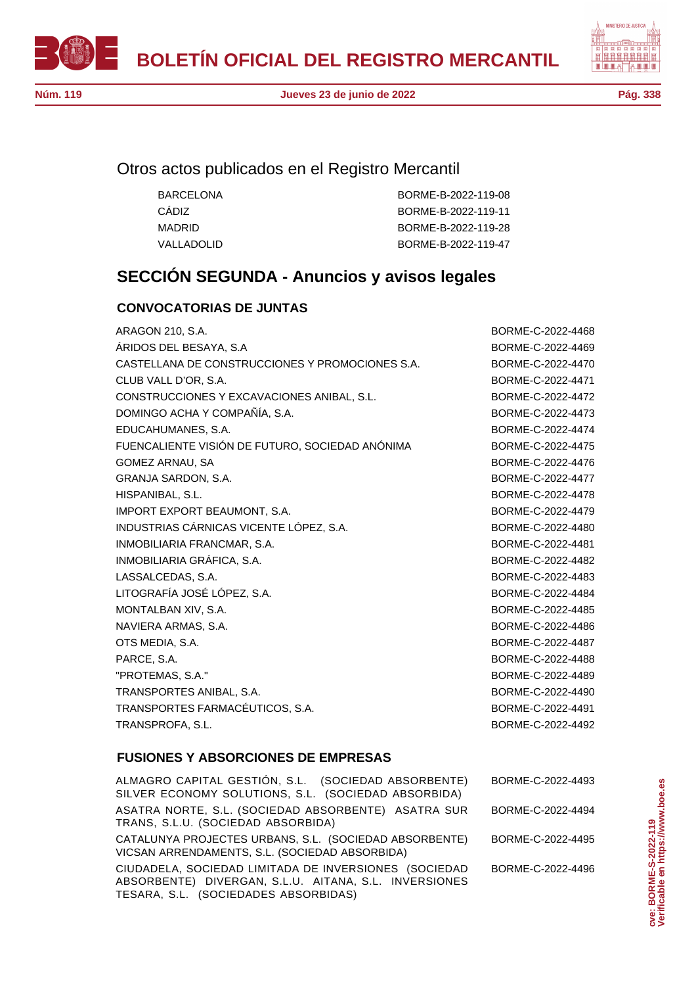



### Otros actos publicados en el Registro Mercantil

| BARCFI ONA  | BORME-B-2022-119-08 |
|-------------|---------------------|
| CÁDIZ.      | BORME-B-2022-119-11 |
| MADRID      | BORME-B-2022-119-28 |
| VALLADOLID. | BORME-B-2022-119-47 |

## **SECCIÓN SEGUNDA - Anuncios y avisos legales**

#### **CONVOCATORIAS DE JUNTAS**

| <b>ARAGON 210, S.A.</b>                         | BORME-C-2022-4468 |
|-------------------------------------------------|-------------------|
| ÁRIDOS DEL BESAYA, S.A                          | BORME-C-2022-4469 |
| CASTELLANA DE CONSTRUCCIONES Y PROMOCIONES S.A. | BORME-C-2022-4470 |
| CLUB VALL D'OR, S.A.                            | BORME-C-2022-4471 |
| CONSTRUCCIONES Y EXCAVACIONES ANIBAL, S.L.      | BORME-C-2022-4472 |
| DOMINGO ACHA Y COMPAÑÍA, S.A.                   | BORME-C-2022-4473 |
| EDUCAHUMANES, S.A.                              | BORME-C-2022-4474 |
| FUENCALIENTE VISIÓN DE FUTURO, SOCIEDAD ANÓNIMA | BORME-C-2022-4475 |
| <b>GOMEZ ARNAU, SA</b>                          | BORME-C-2022-4476 |
| GRANJA SARDON, S.A.                             | BORME-C-2022-4477 |
| HISPANIBAL, S.L.                                | BORME-C-2022-4478 |
| IMPORT EXPORT BEAUMONT, S.A.                    | BORME-C-2022-4479 |
| INDUSTRIAS CÁRNICAS VICENTE LÓPEZ, S.A.         | BORME-C-2022-4480 |
| INMOBILIARIA FRANCMAR, S.A.                     | BORME-C-2022-4481 |
| INMOBILIARIA GRÁFICA, S.A.                      | BORME-C-2022-4482 |
| LASSALCEDAS, S.A.                               | BORME-C-2022-4483 |
| LITOGRAFÍA JOSÉ LÓPEZ, S.A.                     | BORME-C-2022-4484 |
| MONTALBAN XIV, S.A.                             | BORME-C-2022-4485 |
| NAVIERA ARMAS, S.A.                             | BORME-C-2022-4486 |
| OTS MEDIA, S.A.                                 | BORME-C-2022-4487 |
| PARCE, S.A.                                     | BORME-C-2022-4488 |
| "PROTEMAS, S.A."                                | BORME-C-2022-4489 |
| TRANSPORTES ANIBAL, S.A.                        | BORME-C-2022-4490 |
| TRANSPORTES FARMACÉUTICOS, S.A.                 | BORME-C-2022-4491 |
| TRANSPROFA, S.L.                                | BORME-C-2022-4492 |
|                                                 |                   |

#### **FUSIONES Y ABSORCIONES DE EMPRESAS**

ALMAGRO CAPITAL GESTIÓN, S.L. (SOCIEDAD ABSORBENTE) SILVER ECONOMY SOLUTIONS, S.L. (SOCIEDAD ABSORBIDA) BORME-C-2022-4493 ASATRA NORTE, S.L. (SOCIEDAD ABSORBENTE) ASATRA SUR TRANS, S.L.U. (SOCIEDAD ABSORBIDA) BORME-C-2022-4494 CATALUNYA PROJECTES URBANS, S.L. (SOCIEDAD ABSORBENTE) VICSAN ARRENDAMENTS, S.L. (SOCIEDAD ABSORBIDA) BORME-C-2022-4495 CIUDADELA, SOCIEDAD LIMITADA DE INVERSIONES (SOCIEDAD ABSORBENTE) DIVERGAN, S.L.U. AITANA, S.L. INVERSIONES TESARA, S.L. (SOCIEDADES ABSORBIDAS) BORME-C-2022-4496